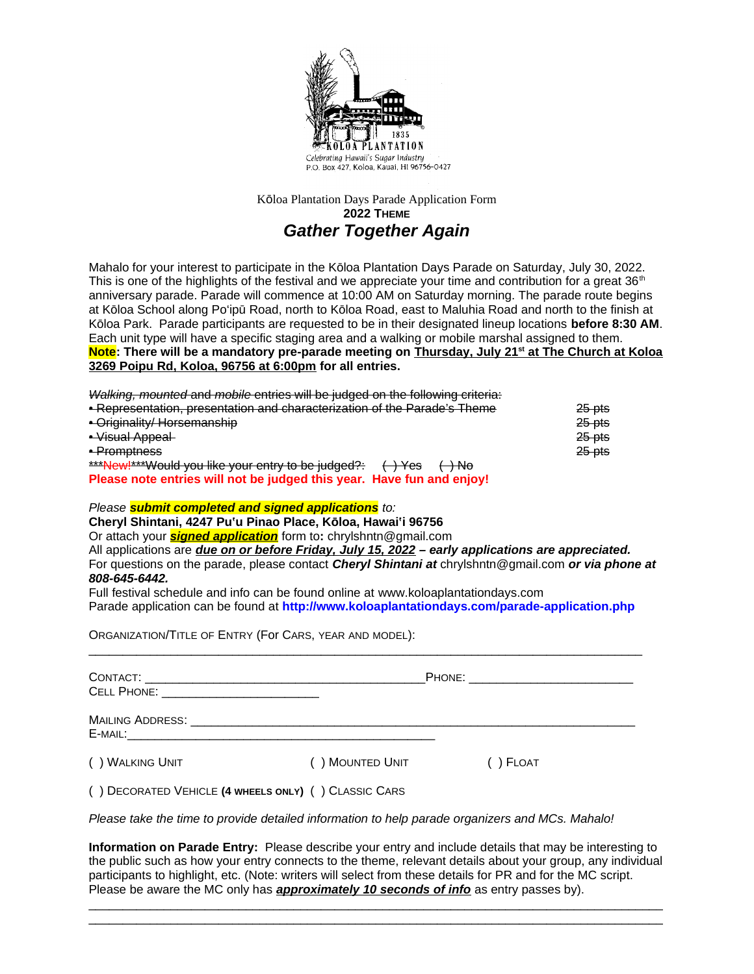

## Kōloa Plantation Days Parade Application Form **2022 THEME** *Gather Together Again*

Mahalo for your interest to participate in the Kōloa Plantation Days Parade on Saturday, July 30, 2022. This is one of the highlights of the festival and we appreciate your time and contribution for a great 36<sup>th</sup> anniversary parade. Parade will commence at 10:00 AM on Saturday morning. The parade route begins at Kōloa School along Po'ipū Road, north to Kōloa Road, east to Maluhia Road and north to the finish at Kōloa Park. Parade participants are requested to be in their designated lineup locations **before 8:30 AM**. Each unit type will have a specific staging area and a walking or mobile marshal assigned to them. **Note: There will be a mandatory pre-parade meeting on Thursday, July 21st at The Church at Koloa 3269 Poipu Rd, Koloa, 96756 at 6:00pm for all entries.** 

*Walking, mounted* and *mobile* entries will be judged on the following criteria:

| • Representation, presentation and characterization of the Parade's Theme                      | 25 pts            |
|------------------------------------------------------------------------------------------------|-------------------|
| • Originality/ Horsemanship                                                                    | <del>25 pts</del> |
| • Visual Appeal                                                                                | <del>25 pts</del> |
| • Promptness                                                                                   | 25 pts            |
| ***New!***Would you like your entry to be judged?:<br>$\leftrightarrow$ Yes<br><del>) No</del> |                   |
| Please note entries will not be judged this year. Have fun and enjoy!                          |                   |

#### *Please submit completed and signed applications to:*

**Cheryl Shintani, 4247 Puʽu Pinao Place, Kōloa, Hawaiʽi 96756** 

Or attach your *signed application* form to**:** [chrylshntn@gmail.com](mailto:chrylshntn@gmail.com)

All applications are *due on or before Friday, July 15, 2022 – early applications are appreciated.* For questions on the parade, please contact *Cheryl Shintani at* [chrylshntn@gmail.com](mailto:chrylshntn@gmail.com) *or via phone at 808-645-6442.* 

Full festival schedule and info can be found online at [www.koloaplantationdays.com](http://www.koloaplantationdays.com/) Parade application can be found at **http://www.koloaplantationdays.com/parade-application.php**

 $\mathcal{L}_\mathcal{L} = \{ \mathcal{L}_\mathcal{L} = \{ \mathcal{L}_\mathcal{L} = \{ \mathcal{L}_\mathcal{L} = \{ \mathcal{L}_\mathcal{L} = \{ \mathcal{L}_\mathcal{L} = \{ \mathcal{L}_\mathcal{L} = \{ \mathcal{L}_\mathcal{L} = \{ \mathcal{L}_\mathcal{L} = \{ \mathcal{L}_\mathcal{L} = \{ \mathcal{L}_\mathcal{L} = \{ \mathcal{L}_\mathcal{L} = \{ \mathcal{L}_\mathcal{L} = \{ \mathcal{L}_\mathcal{L} = \{ \mathcal{L}_\mathcal{$ 

ORGANIZATION/TITLE OF ENTRY (For CARS, YEAR AND MODEL):

| CELL PHONE: WELL ARE AN ARREST MANAGEMENT OF THE STATE OF THE STATE OF THE STATE OF THE STATE OF THE STATE OF THE STATE OF THE STATE OF THE STATE OF THE STATE OF THE STATE OF THE STATE OF THE STATE OF THE STATE OF THE STAT |                 | PHONE: _________________ |  |
|--------------------------------------------------------------------------------------------------------------------------------------------------------------------------------------------------------------------------------|-----------------|--------------------------|--|
| <b>MAILING ADDRESS:</b><br>E-MAIL:                                                                                                                                                                                             |                 |                          |  |
| () WALKING UNIT                                                                                                                                                                                                                | () MOUNTED UNIT | $( )$ Float              |  |
| () DECORATED VEHICLE (4 WHEELS ONLY) () CLASSIC CARS                                                                                                                                                                           |                 |                          |  |

*Please take the time to provide detailed information to help parade organizers and MCs. Mahalo!* 

**Information on Parade Entry:** Please describe your entry and include details that may be interesting to the public such as how your entry connects to the theme, relevant details about your group, any individual participants to highlight, etc. (Note: writers will select from these details for PR and for the MC script. Please be aware the MC only has *approximately 10 seconds of info* as entry passes by).

 $\mathcal{L}_\mathcal{L} = \{ \mathcal{L}_\mathcal{L} = \{ \mathcal{L}_\mathcal{L} = \{ \mathcal{L}_\mathcal{L} = \{ \mathcal{L}_\mathcal{L} = \{ \mathcal{L}_\mathcal{L} = \{ \mathcal{L}_\mathcal{L} = \{ \mathcal{L}_\mathcal{L} = \{ \mathcal{L}_\mathcal{L} = \{ \mathcal{L}_\mathcal{L} = \{ \mathcal{L}_\mathcal{L} = \{ \mathcal{L}_\mathcal{L} = \{ \mathcal{L}_\mathcal{L} = \{ \mathcal{L}_\mathcal{L} = \{ \mathcal{L}_\mathcal{$